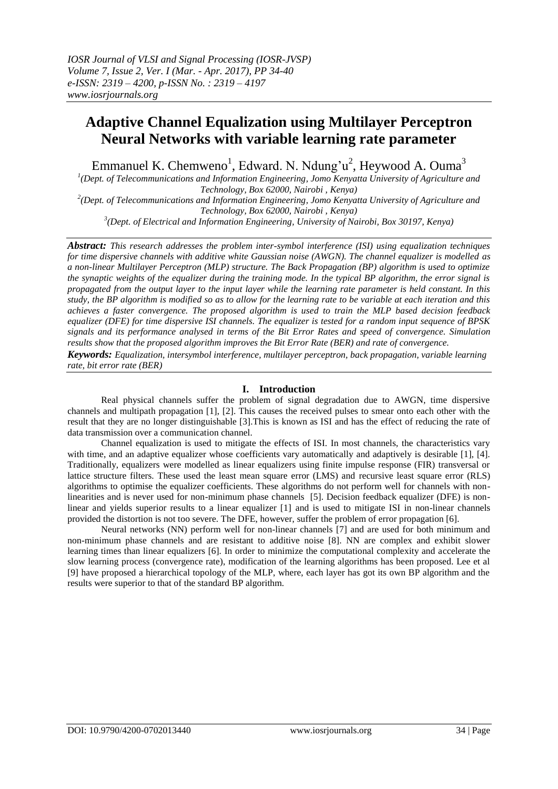# **Adaptive Channel Equalization using Multilayer Perceptron Neural Networks with variable learning rate parameter**

Emmanuel K. Chemweno<sup>1</sup>, Edward. N. Ndung'u<sup>2</sup>, Heywood A. Ouma<sup>3</sup>

<sup>1</sup>(Dept. of Telecommunications and Information Engineering, Jomo Kenyatta University of Agriculture and *Technology, Box 62000, Nairobi , Kenya)*

*2 (Dept. of Telecommunications and Information Engineering, Jomo Kenyatta University of Agriculture and Technology, Box 62000, Nairobi , Kenya)*

*3 (Dept. of Electrical and Information Engineering, University of Nairobi, Box 30197, Kenya)*

*Abstract: This research addresses the problem inter-symbol interference (ISI) using equalization techniques for time dispersive channels with additive white Gaussian noise (AWGN). The channel equalizer is modelled as a non-linear Multilayer Perceptron (MLP) structure. The Back Propagation (BP) algorithm is used to optimize the synaptic weights of the equalizer during the training mode. In the typical BP algorithm, the error signal is propagated from the output layer to the input layer while the learning rate parameter is held constant. In this study, the BP algorithm is modified so as to allow for the learning rate to be variable at each iteration and this achieves a faster convergence. The proposed algorithm is used to train the MLP based decision feedback equalizer (DFE) for time dispersive ISI channels. The equalizer is tested for a random input sequence of BPSK signals and its performance analysed in terms of the Bit Error Rates and speed of convergence. Simulation results show that the proposed algorithm improves the Bit Error Rate (BER) and rate of convergence.*

*Keywords: Equalization, intersymbol interference, multilayer perceptron, back propagation, variable learning rate, bit error rate (BER)*

# **I. Introduction**

Real physical channels suffer the problem of signal degradation due to AWGN, time dispersive channels and multipath propagation [1], [2]. This causes the received pulses to smear onto each other with the result that they are no longer distinguishable [3].This is known as ISI and has the effect of reducing the rate of data transmission over a communication channel.

Channel equalization is used to mitigate the effects of ISI. In most channels, the characteristics vary with time, and an adaptive equalizer whose coefficients vary automatically and adaptively is desirable [1], [4]. Traditionally, equalizers were modelled as linear equalizers using finite impulse response (FIR) transversal or lattice structure filters. These used the least mean square error (LMS) and recursive least square error (RLS) algorithms to optimise the equalizer coefficients. These algorithms do not perform well for channels with nonlinearities and is never used for non-minimum phase channels [5]. Decision feedback equalizer (DFE) is nonlinear and yields superior results to a linear equalizer [1] and is used to mitigate ISI in non-linear channels provided the distortion is not too severe. The DFE, however, suffer the problem of error propagation [6].

Neural networks (NN) perform well for non-linear channels [7] and are used for both minimum and non-minimum phase channels and are resistant to additive noise [8]. NN are complex and exhibit slower learning times than linear equalizers [6]. In order to minimize the computational complexity and accelerate the slow learning process (convergence rate), modification of the learning algorithms has been proposed. Lee et al [9] have proposed a hierarchical topology of the MLP, where, each layer has got its own BP algorithm and the results were superior to that of the standard BP algorithm.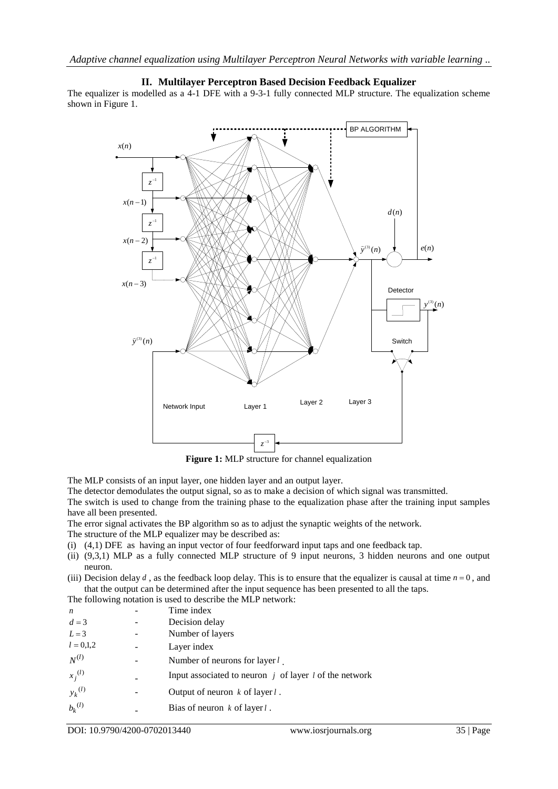#### **II. Multilayer Perceptron Based Decision Feedback Equalizer** The equalizer is modelled as a 4-1 DFE with a 9-3-1 fully connected MLP structure. The equalization scheme shown in Figure 1.



**Figure 1:** MLP structure for channel equalization

The MLP consists of an input layer, one hidden layer and an output layer.

The detector demodulates the output signal, so as to make a decision of which signal was transmitted.

The switch is used to change from the training phase to the equalization phase after the training input samples have all been presented.

The error signal activates the BP algorithm so as to adjust the synaptic weights of the network.

- The structure of the MLP equalizer may be described as:
- (i) (4,1) DFE as having an input vector of four feedforward input taps and one feedback tap.
- (ii) (9,3,1) MLP as a fully connected MLP structure of 9 input neurons, 3 hidden neurons and one output neuron.
- (iii) Decision delay  $d$ , as the feedback loop delay. This is to ensure that the equalizer is causal at time  $n = 0$ , and that the output can be determined after the input sequence has been presented to all the taps.

The following notation is used to describe the MLP network:

| n           |  | Time index                                               |
|-------------|--|----------------------------------------------------------|
| $d=3$       |  | Decision delay                                           |
| $L = 3$     |  | Number of layers                                         |
| $l = 0,1,2$ |  | Layer index                                              |
| $N^{(l)}$   |  | Number of neurons for layer $l_{\perp}$                  |
| $x_i^{(l)}$ |  | Input associated to neuron $j$ of layer l of the network |
| $y_k^{(l)}$ |  | Output of neuron $k$ of layer $l$ .                      |
| $b_k^{(l)}$ |  | Bias of neuron $k$ of layer $l$ .                        |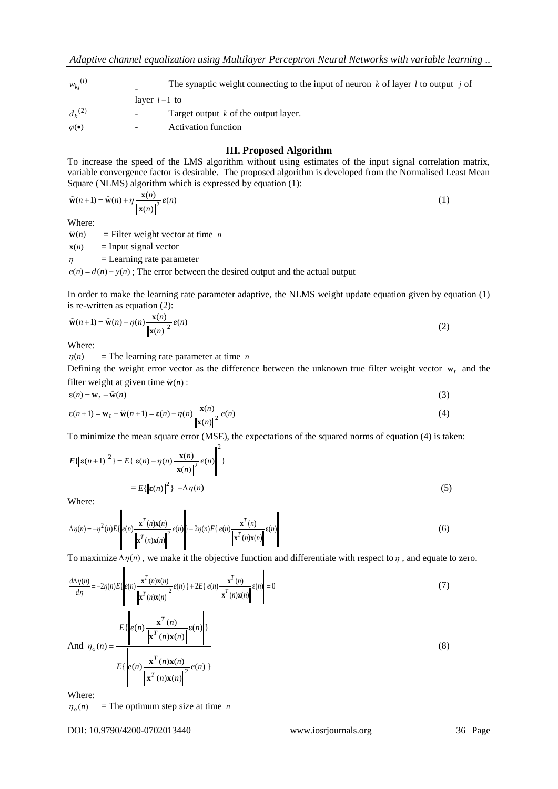| $w_{ki}^{(l)}$     | The synaptic weight connecting to the input of neuron k of layer l to output j of |
|--------------------|-----------------------------------------------------------------------------------|
|                    | layer $l-1$ to                                                                    |
| $d_{k}^{(2)}$      | Target output $k$ of the output layer.<br>$\sim$                                  |
| $\varphi(\bullet)$ | <b>Activation function</b><br>$\overline{\phantom{a}}$                            |

## **III. Proposed Algorithm**

To increase the speed of the LMS algorithm without using estimates of the input signal correlation matrix, variable convergence factor is desirable. The proposed algorithm is developed from the Normalised Least Mean Square (NLMS) algorithm which is expressed by equation (1):

$$
\widehat{\mathbf{w}}(n+1) = \widehat{\mathbf{w}}(n) + \eta \frac{\mathbf{x}(n)}{\|\mathbf{x}(n)\|^2} e(n)
$$
\n(1)

Where:

**w**(*n*) = Filter weight vector at time *n*

**x**(*n*)  $=$  Input signal vector

 $\eta$ = Learning rate parameter

 $e(n) = d(n) - y(n)$ ; The error between the desired output and the actual output

In order to make the learning rate parameter adaptive, the NLMS weight update equation given by equation (1) is re-written as equation (2):

$$
\widehat{\mathbf{w}}(n+1) = \widehat{\mathbf{w}}(n) + \eta(n) \frac{\mathbf{x}(n)}{\|\mathbf{x}(n)\|^2} e(n)
$$
\n(2)

Where:

 $\eta(n)$ = The learning rate parameter at time *n*

Defining the weight error vector as the difference between the unknown true filter weight vector  $w_t$  and the filter weight at given time  $\hat{\mathbf{w}}(n)$ :

$$
\mathbf{g}(n) = \mathbf{w}_t - \hat{\mathbf{w}}(n) \tag{3}
$$

$$
\varepsilon(n+1) = \mathbf{w}_t - \widehat{\mathbf{w}}(n+1) = \varepsilon(n) - \eta(n) \frac{\mathbf{x}(n)}{\|\mathbf{x}(n)\|^2} e(n)
$$
(4)

To minimize the mean square error (MSE), the expectations of the squared norms of equation (4) is taken:

$$
E\{\left\|\mathbf{\varepsilon}(n+1)\right\|^2\} = E\{\left\|\mathbf{\varepsilon}(n) - \eta(n)\frac{\mathbf{x}(n)}{\left\|\mathbf{x}(n)\right\|^2}e(n)\right\|^2\}
$$

$$
= E\{\left\|\mathbf{\varepsilon}(n)\right\|^2\} - \Delta\eta(n) \tag{5}
$$

Where:

$$
\Delta \eta(n) = -\eta^2(n) E\left\{ \left| e(n) \frac{\mathbf{x}^T(n) \mathbf{x}(n)}{\left\| \mathbf{x}^T(n) \mathbf{x}(n) \right\|^2} e(n) \right\| + 2\eta(n) E\left\{ \left| e(n) \frac{\mathbf{x}^T(n)}{\left\| \mathbf{x}^T(n) \mathbf{x}(n) \right\|} \mathbf{E}(n) \right\} \right\}
$$
(6)

To maximize  $\Delta \eta(n)$ , we make it the objective function and differentiate with respect to  $\eta$ , and equate to zero.

The synaptic weight connecting to the input of neuron *k* of layer *l* to output *j* of  
\n
$$
d_k
$$
<sup>(2)</sup>  
\n=  $T$  target output *k* of the output layer.  
\nTo increase the speed of the LMS algorithm without using estimates of the input signal correlation matrix,  
\nVariance (NLMS) algorithm with its expression  
\nvariable convergence factor is desirable. The proposed algorithm is developed from the Normalised Leus Mean  
\nvariable converges to the LMS algorithm which is expressed by equation (1):  
\n $\hat{w}(n+1) = \hat{w}(n) + \eta \frac{w(n)}{|\hat{w}(n)|^2} \epsilon(n)$  (1)  
\n $\hat{w}(n+1) = \hat{w}(n) + \eta \frac{w(n)}{|\hat{w}(n)|^2} \epsilon(n)$  (2)  
\n $\hat{w}(n-1) = w(n) + \eta(n) \frac{w(n)}{|\hat{w}(n)|^2} \epsilon(n)$  (3)  
\n $\hat{w}(n-1) = w(n) + \eta(n) \frac{w(n)}{|\hat{w}(n)|^2} \epsilon(n)$  (4)  
\n $\hat{w}(n-1) = \hat{w}(n) + \eta(n) \frac{w(n)}{|\hat{w}(n)|^2} \epsilon(n)$  (5)  
\n $\hat{w}(n+1) = \hat{w}(n) + \eta(n) \frac{w(n)}{|\hat{w}(n)|^2} \epsilon(n)$  (6)  
\nWhere:  
\n $\hat{w}(n+1) = \hat{w}(n) + \eta(n) \frac{w(n)}{|\hat{w}(n)|^2} \epsilon(n)$  (7)  
\nWhere:  
\n $\hat{w}(n+1) = w_n + \hat{w}(n+1) = \epsilon(n) - \eta(n) \frac{w(n)}{|\hat{w}(n)|^2} \epsilon(n)$  (8)  
\nwhere:  
\n $\epsilon(n+1) = w_n - \hat{w}(n+1) = \epsilon(n) - \eta(n) \frac{w(n)}{|\hat{w}(n)|^2} \epsilon(n)$  (9)  
\n $\epsilon(n+1) = w_n - \hat{w}(n+1) = \epsilon(n) - \eta(n) \frac{w(n)}{|\hat{w}(n)|^2} \epsilon(n)$  (1)  
\n $\epsilon(n+1) = w_n - \hat{w}(n+1) = \epsilon(n) - \eta(n) \frac{w(n)}{|\hat{w}(n)|^2} \epsilon(n)$ 

Where:

 $\eta_o(n)$ = The optimum step size at time *n*

 $(n)$ **x** $(n)$ 

 $\mathbf{x}^I(n)\mathbf{x}$ 

*n n*

 $(n)$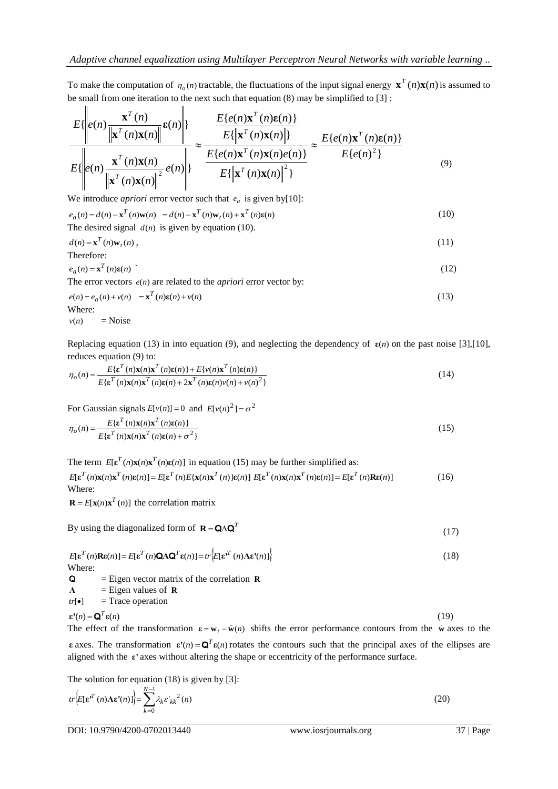To make the computation of  $\eta_o(n)$  tractable, the fluctuations of the input signal energy  $\mathbf{x}^T(n)\mathbf{x}(n)$  is assumed to be small from one iteration to the next such that equation (8) may be simplified to [3] :

$$
\frac{E\{\left\|e(n)\frac{\mathbf{x}^{T}(n)}{\left\|\mathbf{x}^{T}(n)\mathbf{x}(n)\right\|}\mathbf{\varepsilon}(n)\right\}}{E\{\left\|e(n)\frac{\mathbf{x}^{T}(n)\mathbf{x}(n)}{\left\|\mathbf{x}^{T}(n)\mathbf{x}(n)\right\|}\right\}} \approx \frac{\frac{E\{e(n)\mathbf{x}^{T}(n)\mathbf{\varepsilon}(n)\}}{E\{\left\|\mathbf{x}^{T}(n)\mathbf{x}(n)\right\| \}}}{E\{\left\|e(n)\frac{\mathbf{x}^{T}(n)\mathbf{x}(n)}{\left\|\mathbf{x}^{T}(n)\mathbf{x}(n)\right\|^{2}}\right\}} \approx \frac{E\{e(n)\mathbf{x}^{T}(n)\mathbf{\varepsilon}(n)\}}{E\{e(n)^{2}\}}
$$
\n(9)

We introduce *apriori* error vector such that  $e_a$  is given by [10]:

$$
e_a(n) = d(n) - \mathbf{x}^T(n)\mathbf{w}(n) = d(n) - \mathbf{x}^T(n)\mathbf{w}_t(n) + \mathbf{x}^T(n)\mathbf{\varepsilon}(n)
$$
\n(10)

The desired signal 
$$
d(n)
$$
 is given by equation (10).

$$
d(n) = \mathbf{x}^{T}(n)\mathbf{w}_{t}(n),
$$
\n(11)

\nTherefore:

$$
e_a(n) = \mathbf{x}^T(n)\mathbf{\varepsilon}(n) \tag{12}
$$

The error vectors  $e(n)$  are related to the *apriori* error vector by:

$$
e(n) = e_a(n) + v(n) = \mathbf{x}^T(n)\mathbf{e}(n) + v(n)
$$
\n(13)

\nWhere:

$$
v(n) = \text{Noise}
$$

Replacing equation (13) in into equation (9), and neglecting the dependency of  $\varepsilon(n)$  on the past noise [3],[10],

reduces equation (9) to:  
\n
$$
\eta_o(n) = \frac{E\{\varepsilon^T(n)\mathbf{x}(n)\mathbf{x}^T(n)\varepsilon(n)\} + E\{v(n)\mathbf{x}^T(n)\varepsilon(n)\}}{E\{\varepsilon^T(n)\mathbf{x}(n)\mathbf{x}^T(n)\varepsilon(n) + 2\mathbf{x}^T(n)\varepsilon(n)v(n) + v(n)^2\}}
$$
\n(14)

For Gaussian signals 
$$
E[v(n)] = 0
$$
 and  $E[v(n)^{2}] = \sigma^{2}$ 

$$
\eta_o(n) = \frac{E\{\varepsilon^T(n)\mathbf{x}(n)\mathbf{x}^T(n)\varepsilon(n)\}}{E\{\varepsilon^T(n)\mathbf{x}(n)\mathbf{x}^T(n)\varepsilon(n) + \sigma^2\}}
$$
(15)

The term  $E[\mathbf{\varepsilon}^T(n)\mathbf{x}(n)\mathbf{x}^T(n)\mathbf{\varepsilon}(n)]$  in equation (15) may be further simplified as:

 $E[\mathbf{\varepsilon}^T(n)\mathbf{x}(n)\mathbf{x}^T(n)\mathbf{\varepsilon}(n)] = E[\mathbf{\varepsilon}^T(n)E\{\mathbf{x}(n)\mathbf{x}^T(n)\}\mathbf{\varepsilon}(n)] \ E[\mathbf{\varepsilon}^T(n)\mathbf{x}(n)\mathbf{x}^T(n)\mathbf{\varepsilon}(n)] = E[\mathbf{\varepsilon}^T(n)\mathbf{R}\mathbf{\varepsilon}(n)]$  (16) Where:

 $\mathbf{R} = E[\mathbf{x}(n)\mathbf{x}^T(n)]$  the correlation matrix

By using the diagonalized form of  $\mathbf{R} = \mathbf{Q} \Lambda \mathbf{Q}^T$  (17)

$$
E[\mathbf{\varepsilon}^T(n)\mathbf{R}\mathbf{\varepsilon}(n)] = E[\mathbf{\varepsilon}^T(n)\mathbf{Q}\Lambda\mathbf{Q}^T\mathbf{\varepsilon}(n)] = tr\left\{E[\mathbf{\varepsilon}^T(n)\Lambda\mathbf{\varepsilon}^T(n)]\right\}
$$
(18)

- Q = Eigen vector matrix of the correlation **R**
- **Λ** = Eigen values of **R**
- $tr[\bullet]$ = Trace operation

$$
\varepsilon'(n) = \mathbf{Q}^T \varepsilon(n) \tag{19}
$$

The effect of the transformation  $\varepsilon = w_t - \hat{w}(n)$  shifts the error performance contours from the  $\hat{w}$  axes to the **ε** axes. The transformation  $\mathbf{\varepsilon}'(n) = \mathbf{Q}^T \mathbf{\varepsilon}(n)$  rotates the contours such that the principal axes of the ellipses are aligned with the **ε'** axes without altering the shape or eccentricity of the performance surface.

The solution for equation (18) is given by [3]:

$$
tr\left\{\mathbf{E}[\mathbf{\varepsilon}^{T}(n)\Lambda\mathbf{\varepsilon}^{T}(n)]\right\} = \sum_{k=0}^{N-1} \lambda_{k} \varepsilon_{kk}^{T}^{2}(n)
$$
\n(20)

DOI: 10.9790/4200-0702013440 www.iosrjournals.org 37 | Page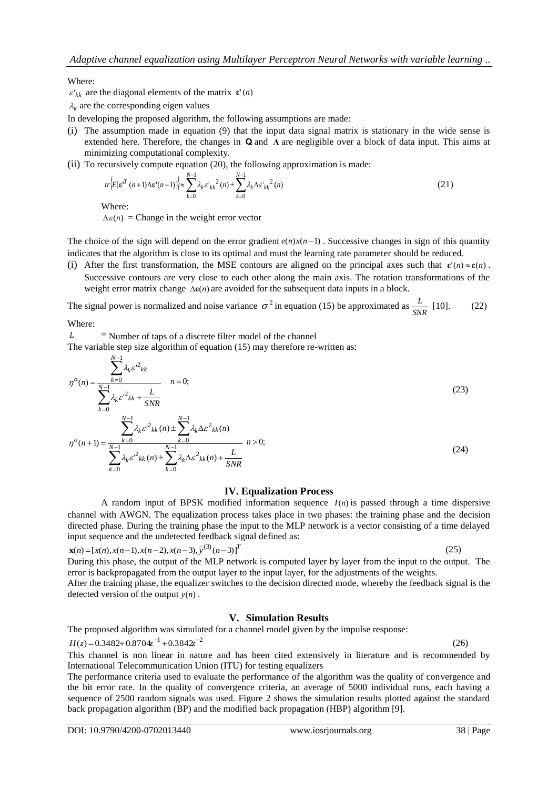Where:

 $\varepsilon'_{kk}$  are the diagonal elements of the matrix  $\varepsilon'(n)$ 

 $\lambda_k$  are the corresponding eigen values

In developing the proposed algorithm, the following assumptions are made:

- (i) The assumption made in equation (9) that the input data signal matrix is stationary in the wide sense is extended here. Therefore, the changes in  $\bf{Q}$  and  $\bf{\Lambda}$  are negligible over a block of data input. This aims at minimizing computational complexity.
- (ii) To recursively compute equation (20), the following approximation is made:

$$
tr\left\{\mathbf{E}[\mathbf{\varepsilon}^{T}(n+1)\Lambda\mathbf{\varepsilon}^{*}(n+1)]\right\} \approx \sum_{k=0}^{N-1} \lambda_{k} \varepsilon_{k}^{*} \varepsilon_{k}^{2}(n) \pm \sum_{k=0}^{N-1} \lambda_{k} \Delta \varepsilon_{k}^{*} \varepsilon_{k}^{2}(n)
$$
\n(21)

Where:

 $\Delta \varepsilon(n)$  = Change in the weight error vector

The choice of the sign will depend on the error gradient  $e(n)x(n-1)$ . Successive changes in sign of this quantity indicates that the algorithm is close to its optimal and must the learning rate parameter should be reduced.

(i) After the first transformation, the MSE contours are aligned on the principal axes such that  $\varepsilon'(n) \approx \varepsilon(n)$ . Successive contours are very close to each other along the main axis. The rotation transformations of the weight error matrix change  $\Delta \varepsilon(n)$  are avoided for the subsequent data inputs in a block.

The signal power is normalized and noise variance  $\sigma^2$  in equation (15) be approximated as  $\frac{L}{SNR}$  $\frac{L}{\mu}$  [10]. (22)

Where:

 $L =$ Number of taps of a discrete filter model of the channel

The variable step size algorithm of equation (15) may therefore re-written as:

$$
\eta^{o}(n) = \frac{\sum_{k=0}^{N-1} \lambda_{k} \varepsilon^{2} k_{k}}{\sum_{k=0}^{N-1} \lambda_{k} \varepsilon^{2} k_{k} + \frac{L}{SNR}}
$$
\n
$$
\eta^{o}(n+1) = \frac{\sum_{k=0}^{N-1} \lambda_{k} \varepsilon^{2} k_{k}(n) \pm \sum_{k=0}^{N-1} \lambda_{k} \Delta \varepsilon^{2} k_{k}(n)}{\sum_{k=0}^{N-1} \lambda_{k} \varepsilon^{2} k_{k}(n) \pm \sum_{k=0}^{N-1} \lambda_{k} \Delta \varepsilon^{2} k_{k}(n) + \frac{L}{SNR}}
$$
\n(24)

#### **IV. Equalization Process**

A random input of BPSK modified information sequence *I*(*n*) is passed through a time dispersive channel with AWGN. The equalization process takes place in two phases: the training phase and the decision directed phase. During the training phase the input to the MLP network is a vector consisting of a time delayed input sequence and the undetected feedback signal defined as:

$$
\mathbf{x}(n) = [x(n), x(n-1), x(n-2), x(n-3), \hat{y}^{(3)}(n-3)]^T
$$
\n(25)

During this phase, the output of the MLP network is computed layer by layer from the input to the output. The error is backpropagated from the output layer to the input layer, for the adjustments of the weights.

After the training phase, the equalizer switches to the decision directed mode, whereby the feedback signal is the detected version of the output *y*(*n*) .

#### **V. Simulation Results**

The proposed algorithm was simulated for a channel model given by the impulse response:

$$
H(z) = 0.3482 + 0.8704z^{-1} + 0.3842z^{-2}
$$
\n<sup>(26)</sup>

This channel is non linear in nature and has been cited extensively in literature and is recommended by International Telecommunication Union (ITU) for testing equalizers

The performance criteria used to evaluate the performance of the algorithm was the quality of convergence and the bit error rate. In the quality of convergence criteria, an average of 5000 individual runs, each having a sequence of 2500 random signals was used. Figure 2 shows the simulation results plotted against the standard back propagation algorithm (BP) and the modified back propagation (HBP) algorithm [9].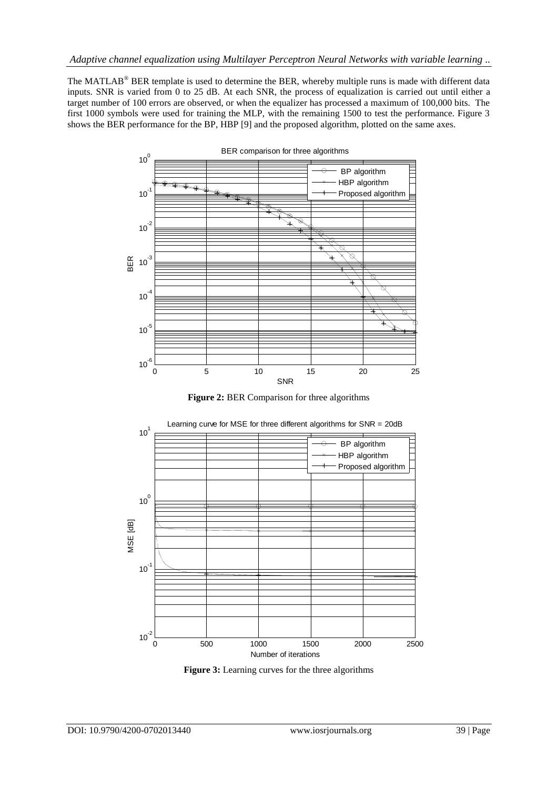The MATLAB® BER template is used to determine the BER, whereby multiple runs is made with different data inputs. SNR is varied from 0 to 25 dB. At each SNR, the process of equalization is carried out until either a target number of 100 errors are observed, or when the equalizer has processed a maximum of 100,000 bits. The first 1000 symbols were used for training the MLP, with the remaining 1500 to test the performance. Figure 3 shows the BER performance for the BP, HBP [9] and the proposed algorithm, plotted on the same axes.



**Figure 2:** BER Comparison for three algorithms



**Figure 3:** Learning curves for the three algorithms